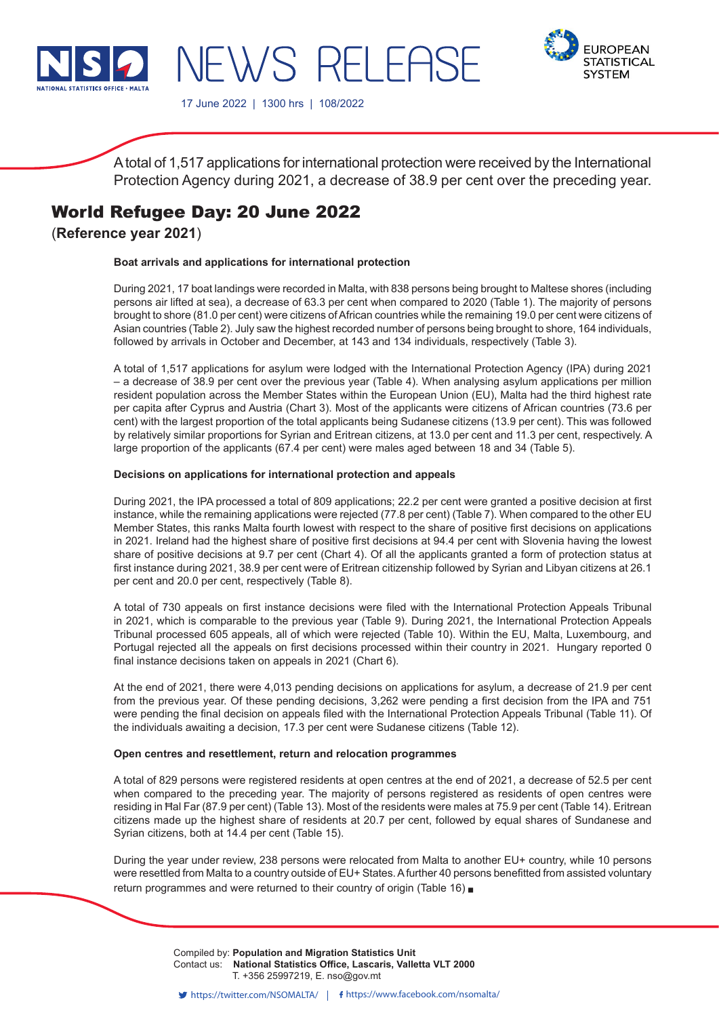

**FUROPEAN STATISTICAL SYSTEM** 

17 June 2022 | 1300 hrs | 108/2022

NEWS RELEASE

A total of 1,517 applications for international protection were received by the International Protection Agency during 2021, a decrease of 38.9 per cent over the preceding year.

# World Refugee Day: 20 June 2022

(**Reference year 2021**)

## **Boat arrivals and applications for international protection**

During 2021, 17 boat landings were recorded in Malta, with 838 persons being brought to Maltese shores (including persons air lifted at sea), a decrease of 63.3 per cent when compared to 2020 (Table 1). The majority of persons brought to shore (81.0 per cent) were citizens of African countries while the remaining 19.0 per cent were citizens of Asian countries (Table 2). July saw the highest recorded number of persons being brought to shore, 164 individuals, followed by arrivals in October and December, at 143 and 134 individuals, respectively (Table 3).

A total of 1,517 applications for asylum were lodged with the International Protection Agency (IPA) during 2021 – a decrease of 38.9 per cent over the previous year (Table 4). When analysing asylum applications per million resident population across the Member States within the European Union (EU), Malta had the third highest rate per capita after Cyprus and Austria (Chart 3). Most of the applicants were citizens of African countries (73.6 per cent) with the largest proportion of the total applicants being Sudanese citizens (13.9 per cent). This was followed by relatively similar proportions for Syrian and Eritrean citizens, at 13.0 per cent and 11.3 per cent, respectively. A large proportion of the applicants (67.4 per cent) were males aged between 18 and 34 (Table 5).

#### **Decisions on applications for international protection and appeals**

During 2021, the IPA processed a total of 809 applications; 22.2 per cent were granted a positive decision at first instance, while the remaining applications were rejected (77.8 per cent) (Table 7). When compared to the other EU Member States, this ranks Malta fourth lowest with respect to the share of positive first decisions on applications in 2021. Ireland had the highest share of positive first decisions at 94.4 per cent with Slovenia having the lowest share of positive decisions at 9.7 per cent (Chart 4). Of all the applicants granted a form of protection status at first instance during 2021, 38.9 per cent were of Eritrean citizenship followed by Syrian and Libyan citizens at 26.1 per cent and 20.0 per cent, respectively (Table 8).

A total of 730 appeals on first instance decisions were filed with the International Protection Appeals Tribunal in 2021, which is comparable to the previous year (Table 9). During 2021, the International Protection Appeals Tribunal processed 605 appeals, all of which were rejected (Table 10). Within the EU, Malta, Luxembourg, and Portugal rejected all the appeals on first decisions processed within their country in 2021. Hungary reported 0 final instance decisions taken on appeals in 2021 (Chart 6).

At the end of 2021, there were 4,013 pending decisions on applications for asylum, a decrease of 21.9 per cent from the previous year. Of these pending decisions, 3,262 were pending a first decision from the IPA and 751 were pending the final decision on appeals filed with the International Protection Appeals Tribunal (Table 11). Of the individuals awaiting a decision, 17.3 per cent were Sudanese citizens (Table 12).

#### **Open centres and resettlement, return and relocation programmes**

A total of 829 persons were registered residents at open centres at the end of 2021, a decrease of 52.5 per cent when compared to the preceding year. The majority of persons registered as residents of open centres were residing in Ħal Far (87.9 per cent) (Table 13). Most of the residents were males at 75.9 per cent (Table 14). Eritrean citizens made up the highest share of residents at 20.7 per cent, followed by equal shares of Sundanese and Syrian citizens, both at 14.4 per cent (Table 15).

During the year under review, 238 persons were relocated from Malta to another EU+ country, while 10 persons were resettled from Malta to a country outside of EU+ States. A further 40 persons benefitted from assisted voluntary return programmes and were returned to their country of origin (Table 16)

> Compiled by: Population and Migration Statistics Unit Contact us: National Statistics Office, Lascaris, Valletta VLT 2000 T. +356 25997219, E. nso@gov.mt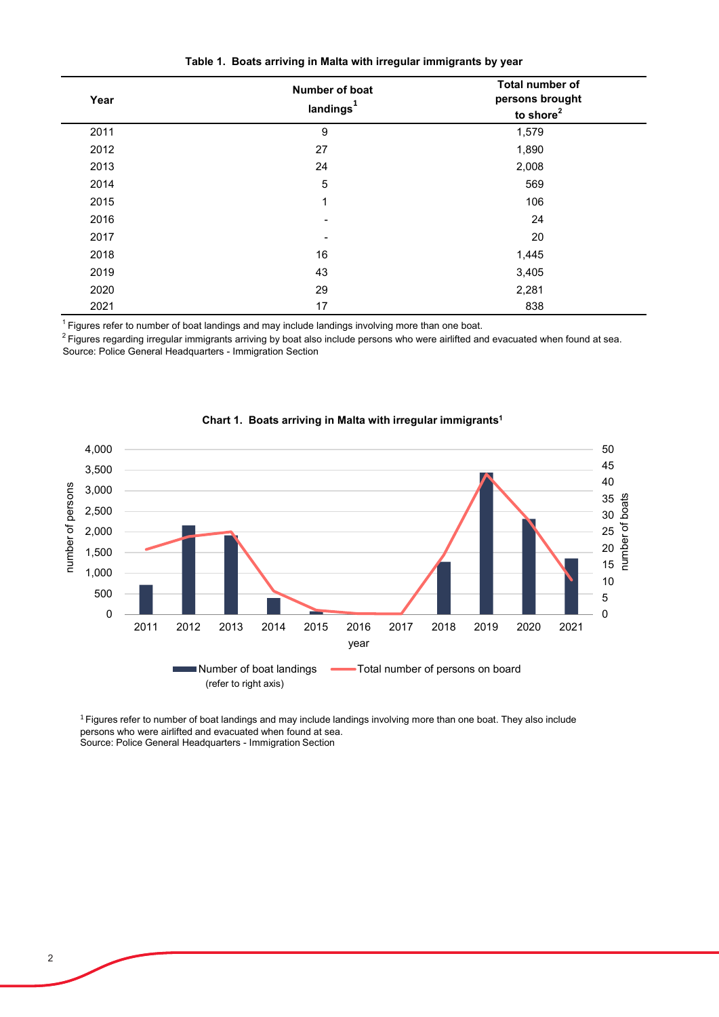|  | Table 1. Boats arriving in Malta with irregular immigrants by year |  |  |  |  |
|--|--------------------------------------------------------------------|--|--|--|--|
|--|--------------------------------------------------------------------|--|--|--|--|

| Year | Number of boat<br>landings <sup>1</sup> | <b>Total number of</b><br>persons brought<br>to shore <sup>2</sup> |
|------|-----------------------------------------|--------------------------------------------------------------------|
| 2011 | 9                                       | 1,579                                                              |
| 2012 | 27                                      | 1,890                                                              |
| 2013 | 24                                      | 2,008                                                              |
| 2014 | 5                                       | 569                                                                |
| 2015 | 1                                       | 106                                                                |
| 2016 | $\overline{\phantom{a}}$                | 24                                                                 |
| 2017 |                                         | 20                                                                 |
| 2018 | 16                                      | 1,445                                                              |
| 2019 | 43                                      | 3,405                                                              |
| 2020 | 29                                      | 2,281                                                              |
| 2021 | 17                                      | 838                                                                |

 $1$  Figures refer to number of boat landings and may include landings involving more than one boat.

Source: Police General Headquarters - Immigration Section 2 Figures regarding irregular immigrants arriving by boat also include persons who were airlifted and evacuated when found at sea.



## **Chart 1. Boats arriving in Malta with irregular immigrants1**

 $1$  Figures refer to number of boat landings and may include landings involving more than one boat. They also include persons who were airlifted and evacuated when found at sea. Source: Police General Headquarters - Immigration Section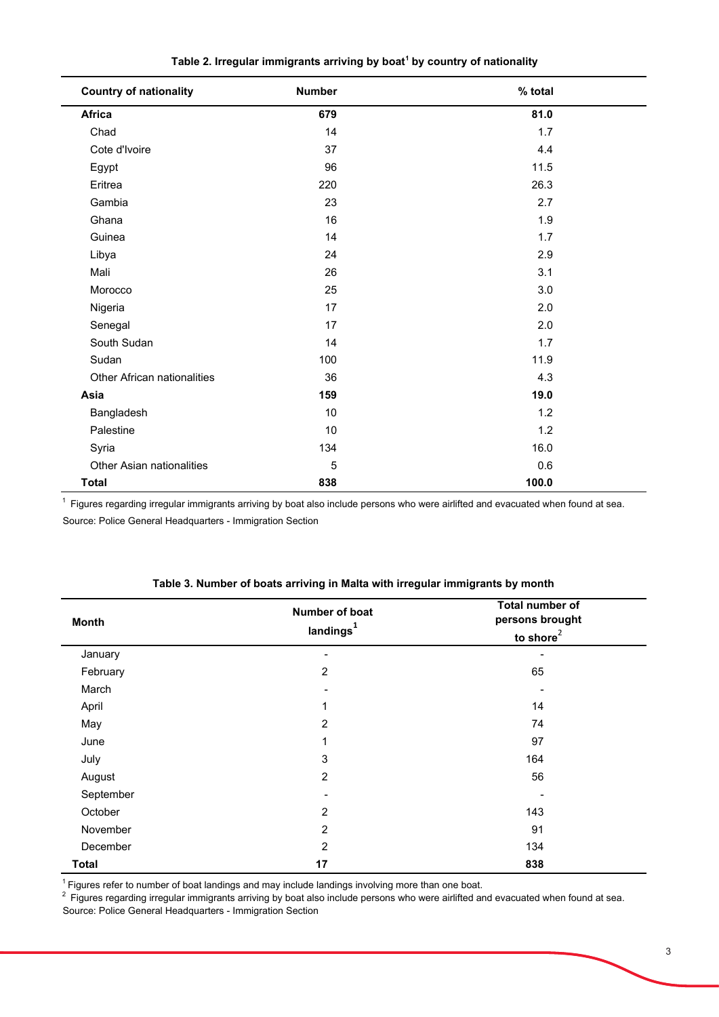| <b>Country of nationality</b>      | <b>Number</b> | % total |
|------------------------------------|---------------|---------|
| Africa                             | 679           | 81.0    |
| Chad                               | 14            | 1.7     |
| Cote d'Ivoire                      | 37            | 4.4     |
| Egypt                              | 96            | 11.5    |
| Eritrea                            | 220           | 26.3    |
| Gambia                             | 23            | 2.7     |
| Ghana                              | 16            | 1.9     |
| Guinea                             | 14            | 1.7     |
| Libya                              | 24            | 2.9     |
| Mali                               | 26            | 3.1     |
| Morocco                            | 25            | 3.0     |
| Nigeria                            | 17            | 2.0     |
| Senegal                            | 17            | 2.0     |
| South Sudan                        | 14            | 1.7     |
| Sudan                              | 100           | 11.9    |
| <b>Other African nationalities</b> | 36            | 4.3     |
| Asia                               | 159           | 19.0    |
| Bangladesh                         | 10            | 1.2     |
| Palestine                          | 10            | 1.2     |
| Syria                              | 134           | 16.0    |
| <b>Other Asian nationalities</b>   | 5             | 0.6     |
| <b>Total</b>                       | 838           | 100.0   |

| Table 2. Irregular immigrants arriving by boat <sup>1</sup> by country of nationality |  |  |  |  |  |  |  |
|---------------------------------------------------------------------------------------|--|--|--|--|--|--|--|
|---------------------------------------------------------------------------------------|--|--|--|--|--|--|--|

Source: Police General Headquarters - Immigration Section 1 Figures regarding irregular immigrants arriving by boat also include persons who were airlifted and evacuated when found at sea.

| <b>Month</b> | Number of boat<br>landings <sup>1</sup> | Total number of<br>persons brought<br>to shore $2$ |
|--------------|-----------------------------------------|----------------------------------------------------|
| January      |                                         |                                                    |
| February     | $\overline{c}$                          | 65                                                 |
| March        |                                         |                                                    |
| April        | 1                                       | 14                                                 |
| May          | $\overline{2}$                          | 74                                                 |
| June         | 1                                       | 97                                                 |
| July         | $\mathsf 3$                             | 164                                                |
| August       | $\overline{2}$                          | 56                                                 |
| September    |                                         |                                                    |
| October      | 2                                       | 143                                                |
| November     | $\overline{c}$                          | 91                                                 |
| December     | $\overline{c}$                          | 134                                                |
| <b>Total</b> | 17                                      | 838                                                |

 $^{\text{1}}$  Figures refer to number of boat landings and may include landings involving more than one boat.

 $^2$  Figures regarding irregular immigrants arriving by boat also include persons who were airlifted and evacuated when found at sea.

Source: Police General Headquarters - Immigration Section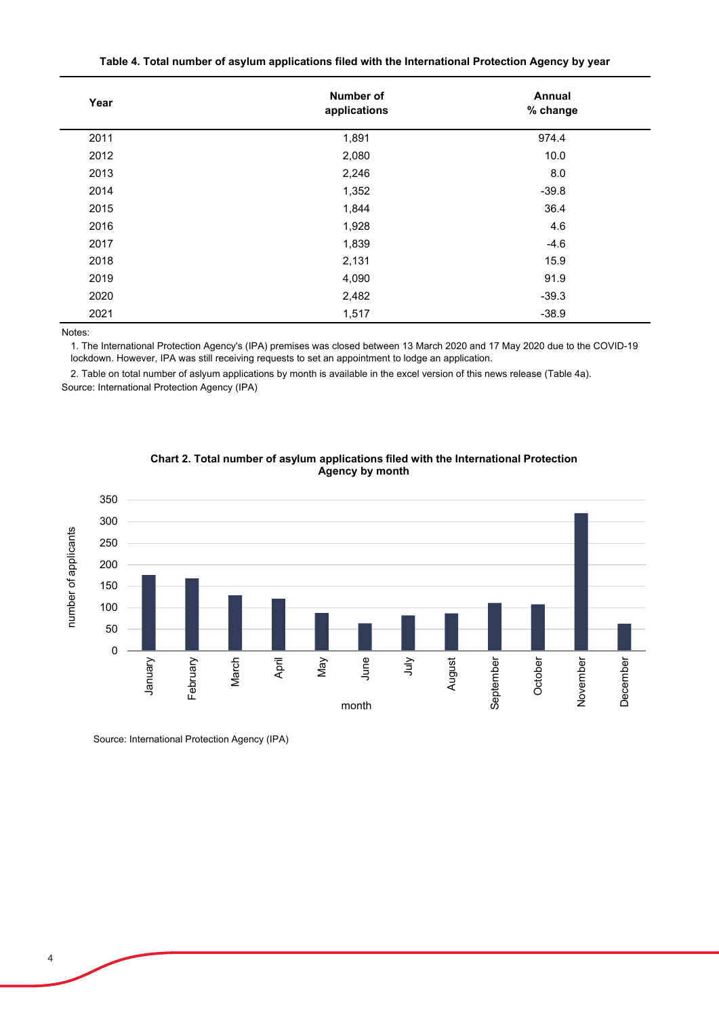| Year | Number of<br>applications | Annual<br>% change |
|------|---------------------------|--------------------|
| 2011 | 1,891                     | 974.4              |
| 2012 | 2,080                     | 10.0               |
| 2013 | 2,246                     | 8.0                |
| 2014 | 1,352                     | $-39.8$            |
| 2015 | 1,844                     | 36.4               |
| 2016 | 1,928                     | 4.6                |
| 2017 | 1,839                     | $-4.6$             |
| 2018 | 2,131                     | 15.9               |
| 2019 | 4,090                     | 91.9               |
| 2020 | 2,482                     | $-39.3$            |
| 2021 | 1,517                     | $-38.9$            |

|  |  | Table 4. Total number of asylum applications filed with the International Protection Agency by year |  |
|--|--|-----------------------------------------------------------------------------------------------------|--|
|--|--|-----------------------------------------------------------------------------------------------------|--|

Notes:

1. The International Protection Agency's (IPA) premises was closed between 13 March 2020 and 17 May 2020 due to the COVID-19 lockdown. However, IPA was still receiving requests to set an appointment to lodge an application.

2. Table on total number of aslyum applications by month is available in the excel version of this news release (Table 4a). Source: International Protection Agency (IPA)



## **Chart 2. Total number of asylum applications filed with the International Protection Agency by month**

Source: International Protection Agency (IPA)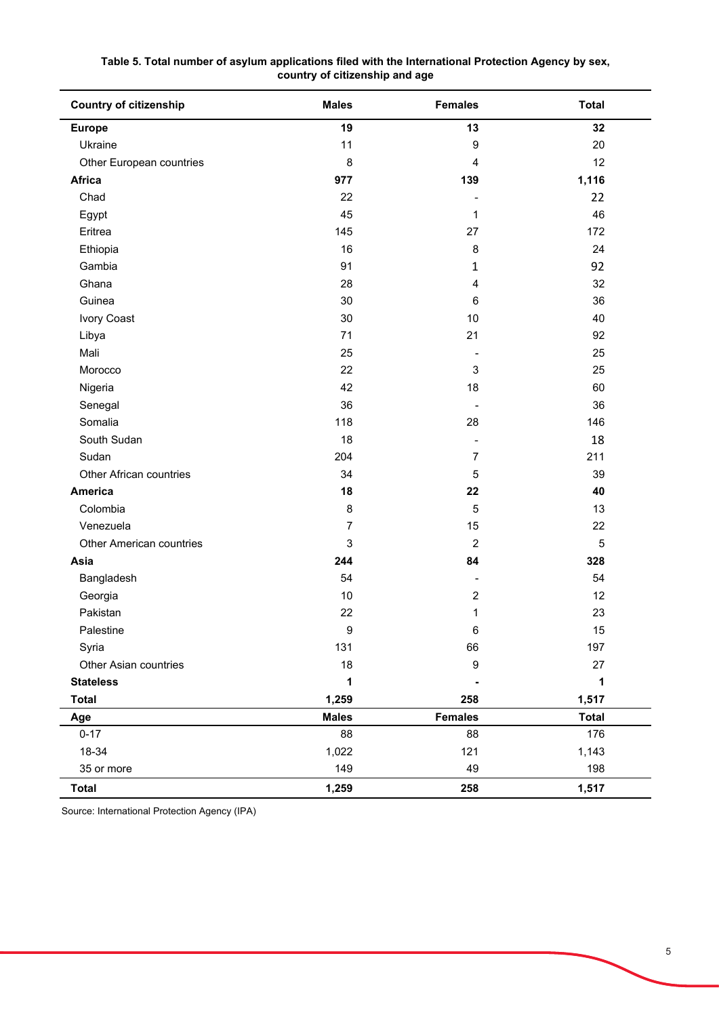| <b>Country of citizenship</b>   | <b>Males</b>     | <b>Females</b>               | <b>Total</b> |  |
|---------------------------------|------------------|------------------------------|--------------|--|
| <b>Europe</b>                   | 19               | 13                           | 32           |  |
| Ukraine                         | 11               | 9                            | 20           |  |
| Other European countries        | 8                | 4                            | 12           |  |
| Africa                          | 977              | 139                          | 1,116        |  |
| Chad                            | 22               |                              | 22           |  |
| Egypt                           | 45               | 1                            | 46           |  |
| Eritrea                         | 145              | 27                           | 172          |  |
| Ethiopia                        | 16               | 8                            | 24           |  |
| Gambia                          | 91               | $\mathbf{1}$                 | 92           |  |
| Ghana                           | 28               | 4                            | 32           |  |
| Guinea                          | 30               | 6                            | 36           |  |
| Ivory Coast                     | $30\,$           | 10                           | 40           |  |
| Libya                           | 71               | 21                           | 92           |  |
| Mali                            | 25               |                              | 25           |  |
| Morocco                         | 22               | 3                            | 25           |  |
| Nigeria                         | 42               | 18                           | 60           |  |
| Senegal                         | 36               | $\qquad \qquad \blacksquare$ | 36           |  |
| Somalia                         | 118              | 28                           | 146          |  |
| South Sudan                     | 18               |                              | 18           |  |
| Sudan                           | 204              | $\overline{7}$               | 211          |  |
| Other African countries         | 34               | 5                            | 39           |  |
| <b>America</b>                  | 18               | 22                           | 40           |  |
| Colombia                        | 8                | 5                            | 13           |  |
| Venezuela                       | $\overline{7}$   | 15                           | 22           |  |
| <b>Other American countries</b> | 3                | $\sqrt{2}$                   | $\sqrt{5}$   |  |
| Asia                            | 244              | 84                           | 328          |  |
| Bangladesh                      | 54               | $\overline{\phantom{a}}$     | 54           |  |
| Georgia                         | 10               | 2                            | 12           |  |
| Pakistan                        | 22               | 1                            | 23           |  |
| Palestine                       | $\boldsymbol{9}$ | 6                            | 15           |  |
| Syria                           | 131              | 66                           | 197          |  |
| Other Asian countries           | 18               | $\boldsymbol{9}$             | 27           |  |
| <b>Stateless</b>                | 1                |                              | 1            |  |
| <b>Total</b>                    | 1,259            | 258                          | 1,517        |  |
| Age                             | <b>Males</b>     | <b>Females</b>               | <b>Total</b> |  |
| $0 - 17$                        | 88               | 88                           | 176          |  |
| 18-34                           | 1,022            | 121                          | 1,143        |  |
| 35 or more                      | 149              | 49                           | 198          |  |
| <b>Total</b>                    | 1,259            | 258                          | 1,517        |  |

**Table 5. Total number of asylum applications filed with the International Protection Agency by sex, country of citizenship and age**

Source: International Protection Agency (IPA)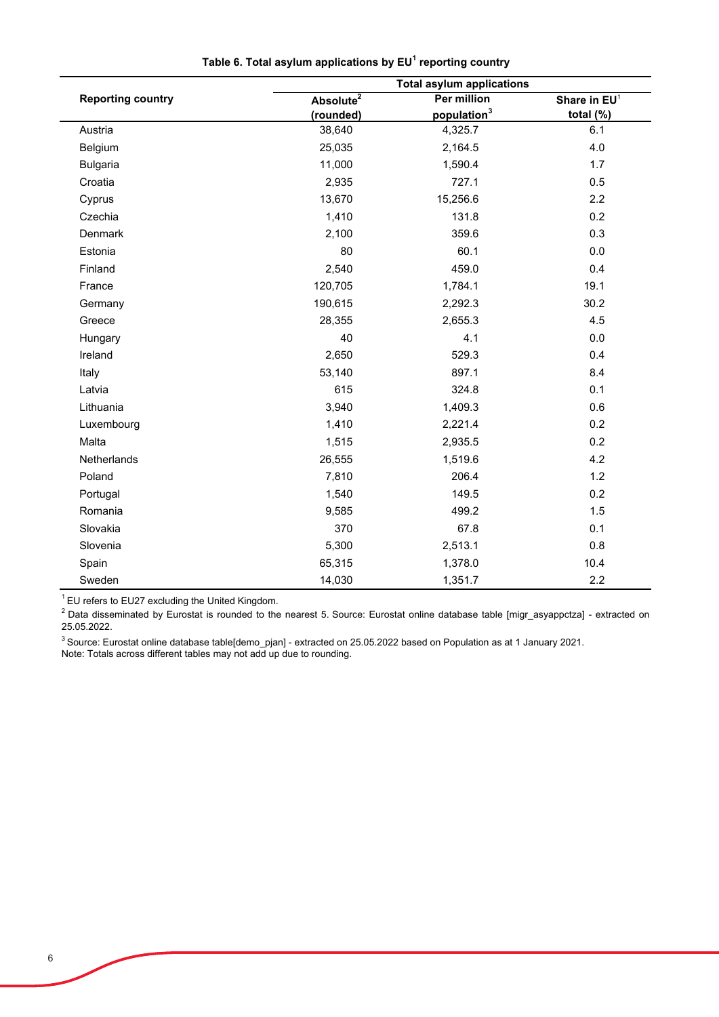|                          | <b>Total asylum applications</b> |                         |                          |  |  |  |
|--------------------------|----------------------------------|-------------------------|--------------------------|--|--|--|
| <b>Reporting country</b> | Absolute $\overline{2}$          | <b>Per million</b>      | Share in EU <sup>1</sup> |  |  |  |
|                          | (rounded)                        | population <sup>3</sup> | total (%)                |  |  |  |
| Austria                  | 38,640                           | 4,325.7                 | 6.1                      |  |  |  |
| Belgium                  | 25,035                           | 2,164.5                 | 4.0                      |  |  |  |
| <b>Bulgaria</b>          | 11,000                           | 1,590.4                 | 1.7                      |  |  |  |
| Croatia                  | 2,935                            | 727.1                   | 0.5                      |  |  |  |
| Cyprus                   | 13,670                           | 15,256.6                | 2.2                      |  |  |  |
| Czechia                  | 1,410                            | 131.8                   | 0.2                      |  |  |  |
| Denmark                  | 2,100                            | 359.6                   | 0.3                      |  |  |  |
| Estonia                  | 80                               | 60.1                    | 0.0                      |  |  |  |
| Finland                  | 2,540                            | 459.0                   | 0.4                      |  |  |  |
| France                   | 120,705                          | 1,784.1                 | 19.1                     |  |  |  |
| Germany                  | 190,615                          | 2,292.3                 | 30.2                     |  |  |  |
| Greece                   | 28,355                           | 2,655.3                 | 4.5                      |  |  |  |
| Hungary                  | 40                               | 4.1                     | $0.0\,$                  |  |  |  |
| Ireland                  | 2,650                            | 529.3                   | 0.4                      |  |  |  |
| Italy                    | 53,140                           | 897.1                   | 8.4                      |  |  |  |
| Latvia                   | 615                              | 324.8                   | 0.1                      |  |  |  |
| Lithuania                | 3,940                            | 1,409.3                 | 0.6                      |  |  |  |
| Luxembourg               | 1,410                            | 2,221.4                 | 0.2                      |  |  |  |
| Malta                    | 1,515                            | 2,935.5                 | 0.2                      |  |  |  |
| Netherlands              | 26,555                           | 1,519.6                 | 4.2                      |  |  |  |
| Poland                   | 7,810                            | 206.4                   | 1.2                      |  |  |  |
| Portugal                 | 1,540                            | 149.5                   | 0.2                      |  |  |  |
| Romania                  | 9,585                            | 499.2                   | 1.5                      |  |  |  |
| Slovakia                 | 370                              | 67.8                    | 0.1                      |  |  |  |
| Slovenia                 | 5,300                            | 2,513.1                 | 0.8                      |  |  |  |
| Spain                    | 65,315                           | 1,378.0                 | 10.4                     |  |  |  |
| Sweden                   | 14,030                           | 1,351.7                 | 2.2                      |  |  |  |

**Table 6. Total asylum applications by EU1 reporting country**

 $1$  EU refers to EU27 excluding the United Kingdom.

<sup>2</sup> Data disseminated by Eurostat is rounded to the nearest 5. Source: Eurostat online database table [migr\_asyappctza] - extracted on 25.05.2022.

 $^3$ Source: Eurostat online database table[demo\_pjan] - extracted on 25.05.2022 based on Population as at 1 January 2021. Note: Totals across different tables may not add up due to rounding.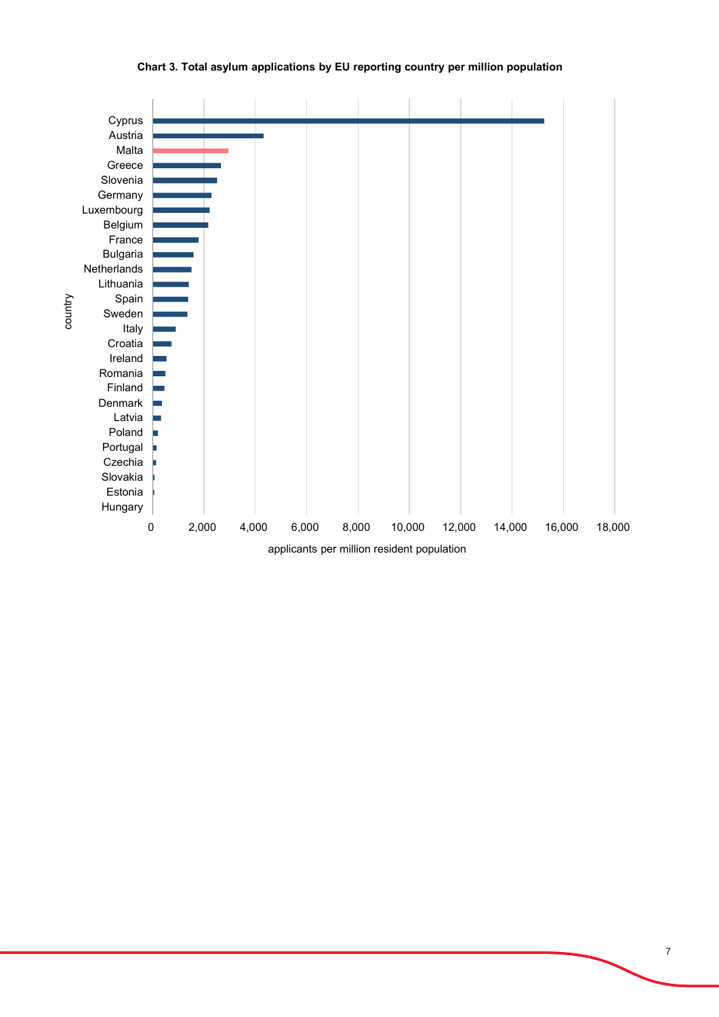

**Chart 3. Total asylum applications by EU reporting country per million population**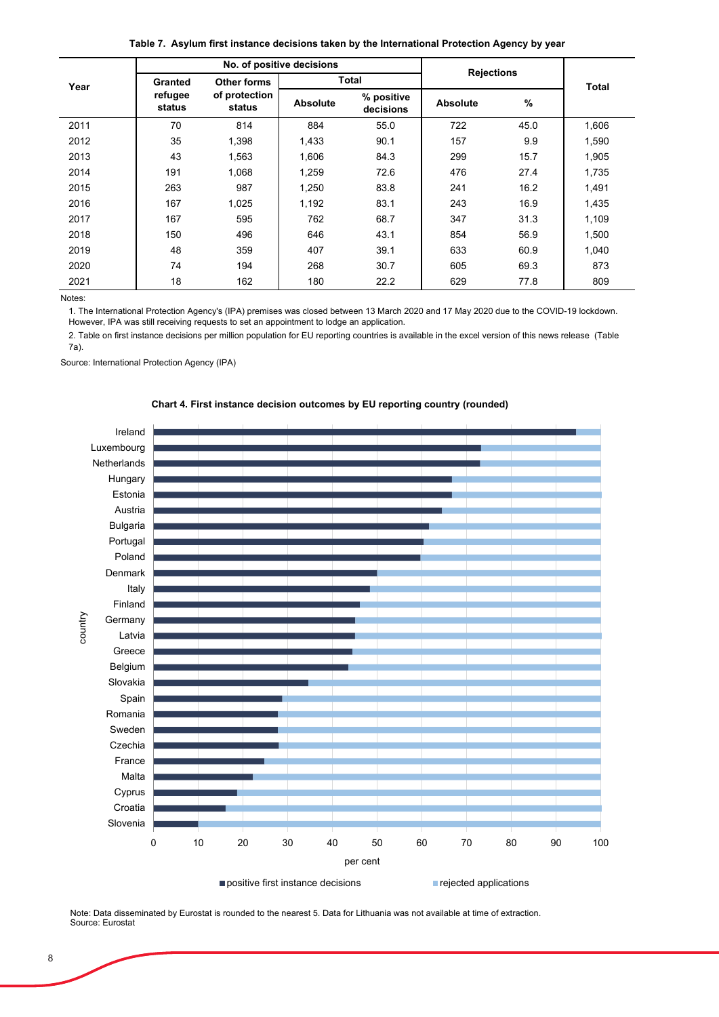**Table 7. Asylum first instance decisions taken by the International Protection Agency by year**

|      | No. of positive decisions |                         |                 | <b>Rejections</b>       |                 |      |              |
|------|---------------------------|-------------------------|-----------------|-------------------------|-----------------|------|--------------|
| Year | <b>Granted</b>            | Other forms             |                 | Total                   |                 |      | <b>Total</b> |
|      | refugee<br>status         | of protection<br>status | <b>Absolute</b> | % positive<br>decisions | <b>Absolute</b> | $\%$ |              |
| 2011 | 70                        | 814                     | 884             | 55.0                    | 722             | 45.0 | 1,606        |
| 2012 | 35                        | 1,398                   | 1,433           | 90.1                    | 157             | 9.9  | 1,590        |
| 2013 | 43                        | 1,563                   | 1.606           | 84.3                    | 299             | 15.7 | 1.905        |
| 2014 | 191                       | 1,068                   | 1,259           | 72.6                    | 476             | 27.4 | 1,735        |
| 2015 | 263                       | 987                     | 1.250           | 83.8                    | 241             | 16.2 | 1,491        |
| 2016 | 167                       | 1,025                   | 1,192           | 83.1                    | 243             | 16.9 | 1,435        |
| 2017 | 167                       | 595                     | 762             | 68.7                    | 347             | 31.3 | 1,109        |
| 2018 | 150                       | 496                     | 646             | 43.1                    | 854             | 56.9 | 1,500        |
| 2019 | 48                        | 359                     | 407             | 39.1                    | 633             | 60.9 | 1,040        |
| 2020 | 74                        | 194                     | 268             | 30.7                    | 605             | 69.3 | 873          |
| 2021 | 18                        | 162                     | 180             | 22.2                    | 629             | 77.8 | 809          |

Notes:

1. The International Protection Agency's (IPA) premises was closed between 13 March 2020 and 17 May 2020 due to the COVID-19 lockdown. However, IPA was still receiving requests to set an appointment to lodge an application.

2. Table on first instance decisions per million population for EU reporting countries is available in the excel version of this news release (Table 7a).

Source: International Protection Agency (IPA)





Note: Data disseminated by Eurostat is rounded to the nearest 5. Data for Lithuania was not available at time of extraction.

Source: Eurostat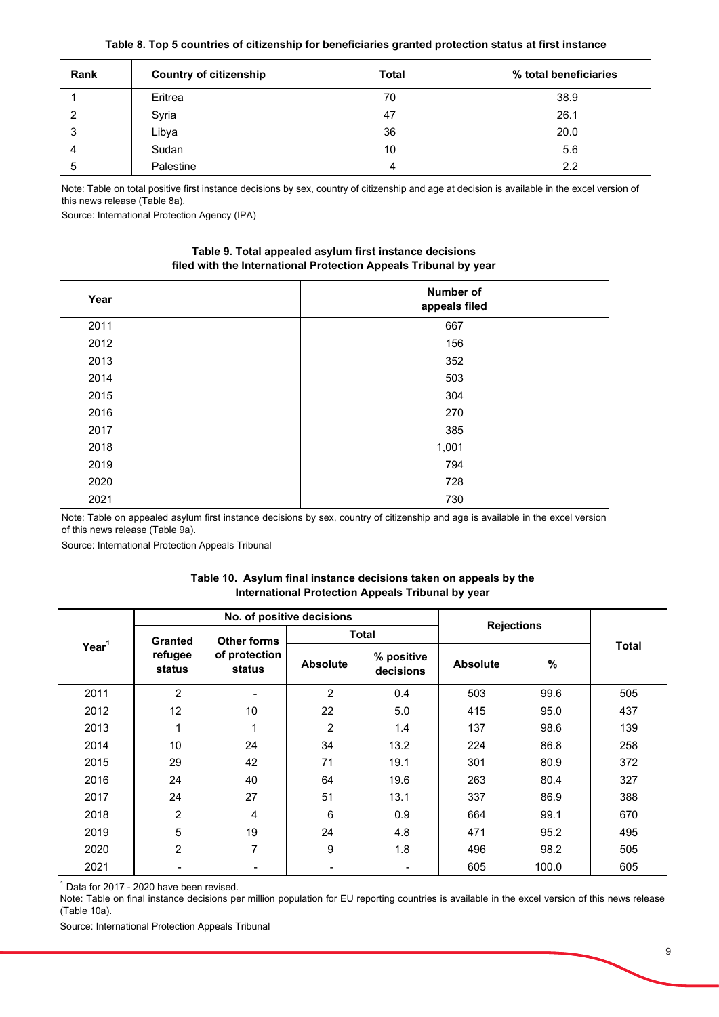|  | Table 8. Top 5 countries of citizenship for beneficiaries granted protection status at first instance |  |  |
|--|-------------------------------------------------------------------------------------------------------|--|--|
|--|-------------------------------------------------------------------------------------------------------|--|--|

| Rank | <b>Country of citizenship</b> | <b>Total</b> | % total beneficiaries |
|------|-------------------------------|--------------|-----------------------|
|      | Eritrea                       | 70           | 38.9                  |
| 2    | Syria                         | 47           | 26.1                  |
| 3    | Libya                         | 36           | 20.0                  |
| 4    | Sudan                         | 10           | 5.6                   |
| 5    | Palestine                     | 4            | 2.2                   |

Note: Table on total positive first instance decisions by sex, country of citizenship and age at decision is available in the excel version of this news release (Table 8a).

Source: International Protection Agency (IPA)

| Table 9. Total appealed asylum first instance decisions          |
|------------------------------------------------------------------|
| filed with the International Protection Appeals Tribunal by year |

| Year | Number of<br>appeals filed |
|------|----------------------------|
| 2011 | 667                        |
| 2012 | 156                        |
| 2013 | 352                        |
| 2014 | 503                        |
| 2015 | 304                        |
| 2016 | 270                        |
| 2017 | 385                        |
| 2018 | 1,001                      |
| 2019 | 794                        |
| 2020 | 728                        |
| 2021 | 730                        |

Note: Table on appealed asylum first instance decisions by sex, country of citizenship and age is available in the excel version of this news release (Table 9a).

Source: International Protection Appeals Tribunal

|                   |                                      | No. of positive decisions |                 |                         |                   |       |              |
|-------------------|--------------------------------------|---------------------------|-----------------|-------------------------|-------------------|-------|--------------|
| Year <sup>1</sup> | <b>Other forms</b><br><b>Granted</b> |                           | <b>Total</b>    |                         | <b>Rejections</b> |       |              |
|                   | refugee<br>status                    | of protection<br>status   | <b>Absolute</b> | % positive<br>decisions | <b>Absolute</b>   | $\%$  | <b>Total</b> |
| 2011              | $\overline{2}$                       |                           | $\overline{2}$  | 0.4                     | 503               | 99.6  | 505          |
| 2012              | 12                                   | 10                        | 22              | 5.0                     | 415               | 95.0  | 437          |
| 2013              | 1                                    | 1                         | 2               | 1.4                     | 137               | 98.6  | 139          |
| 2014              | 10                                   | 24                        | 34              | 13.2                    | 224               | 86.8  | 258          |
| 2015              | 29                                   | 42                        | 71              | 19.1                    | 301               | 80.9  | 372          |
| 2016              | 24                                   | 40                        | 64              | 19.6                    | 263               | 80.4  | 327          |
| 2017              | 24                                   | 27                        | 51              | 13.1                    | 337               | 86.9  | 388          |
| 2018              | $\overline{2}$                       | 4                         | 6               | 0.9                     | 664               | 99.1  | 670          |
| 2019              | 5                                    | 19                        | 24              | 4.8                     | 471               | 95.2  | 495          |
| 2020              | $\overline{2}$                       | 7                         | 9               | 1.8                     | 496               | 98.2  | 505          |
| 2021              | $\overline{\phantom{a}}$             | -                         | -               | $\blacksquare$          | 605               | 100.0 | 605          |

# **Table 10. Asylum final instance decisions taken on appeals by the International Protection Appeals Tribunal by year**

 $1$  Data for 2017 - 2020 have been revised.

Note: Table on final instance decisions per million population for EU reporting countries is available in the excel version of this news release (Table 10a).

Source: International Protection Appeals Tribunal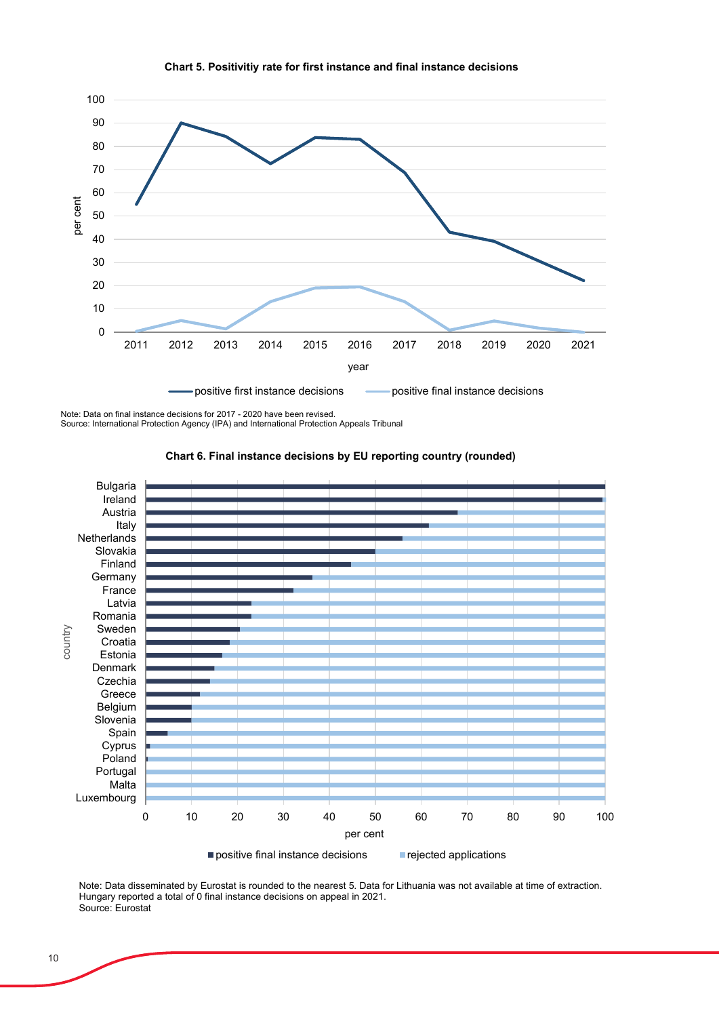

#### **Chart 5. Positivitiy rate for first instance and final instance decisions**

Note: Data on final instance decisions for 2017 - 2020 have been revised.

Source: International Protection Agency (IPA) and International Protection Appeals Tribunal



#### **Chart 6. Final instance decisions by EU reporting country (rounded)**

Note: Data disseminated by Eurostat is rounded to the nearest 5. Data for Lithuania was not available at time of extraction. Hungary reported a total of 0 final instance decisions on appeal in 2021. Source: Eurostat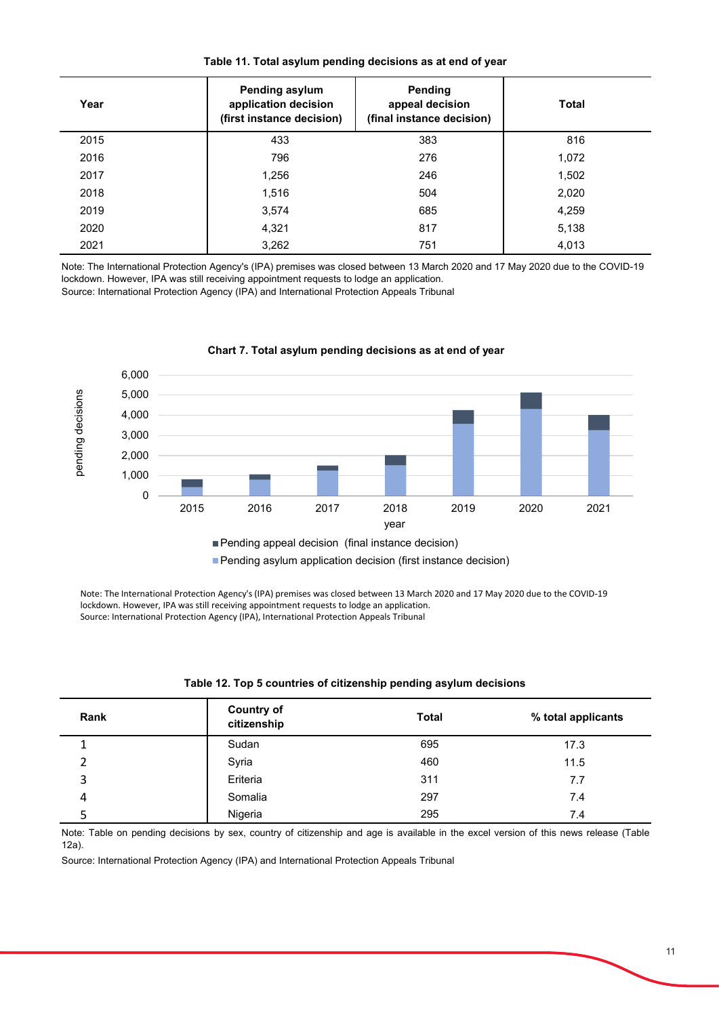| Year | Pending asylum<br>application decision<br>(first instance decision) | Pending<br>appeal decision<br>(final instance decision) | <b>Total</b> |
|------|---------------------------------------------------------------------|---------------------------------------------------------|--------------|
| 2015 | 433                                                                 | 383                                                     | 816          |
| 2016 | 796                                                                 | 276                                                     | 1,072        |
| 2017 | 1,256                                                               | 246                                                     | 1,502        |
| 2018 | 1,516                                                               | 504                                                     | 2,020        |
| 2019 | 3,574                                                               | 685                                                     | 4,259        |
| 2020 | 4,321                                                               | 817                                                     | 5,138        |
| 2021 | 3,262                                                               | 751                                                     | 4,013        |

**Table 11. Total asylum pending decisions as at end of year**

Note: The International Protection Agency's (IPA) premises was closed between 13 March 2020 and 17 May 2020 due to the COVID-19 lockdown. However, IPA was still receiving appointment requests to lodge an application.

Source: International Protection Agency (IPA) and International Protection Appeals Tribunal



**Chart 7. Total asylum pending decisions as at end of year** 

**Pending asylum application decision (first instance decision)** 

Note: The International Protection Agency's (IPA) premises was closed between 13 March 2020 and 17 May 2020 due to the COVID-19 lockdown. However, IPA was still receiving appointment requests to lodge an application. Source: International Protection Agency (IPA), International Protection Appeals Tribunal

| Rank | <b>Country of</b><br>citizenship | <b>Total</b> | % total applicants |
|------|----------------------------------|--------------|--------------------|
| 1    | Sudan                            | 695          | 17.3               |
| 2    | Syria                            | 460          | 11.5               |
| 3    | Eriteria                         | 311          | 7.7                |
| 4    | Somalia                          | 297          | 7.4                |
|      | Nigeria                          | 295          | 7.4                |

# **Table 12. Top 5 countries of citizenship pending asylum decisions**

Note: Table on pending decisions by sex, country of citizenship and age is available in the excel version of this news release (Table 12a).

Source: International Protection Agency (IPA) and International Protection Appeals Tribunal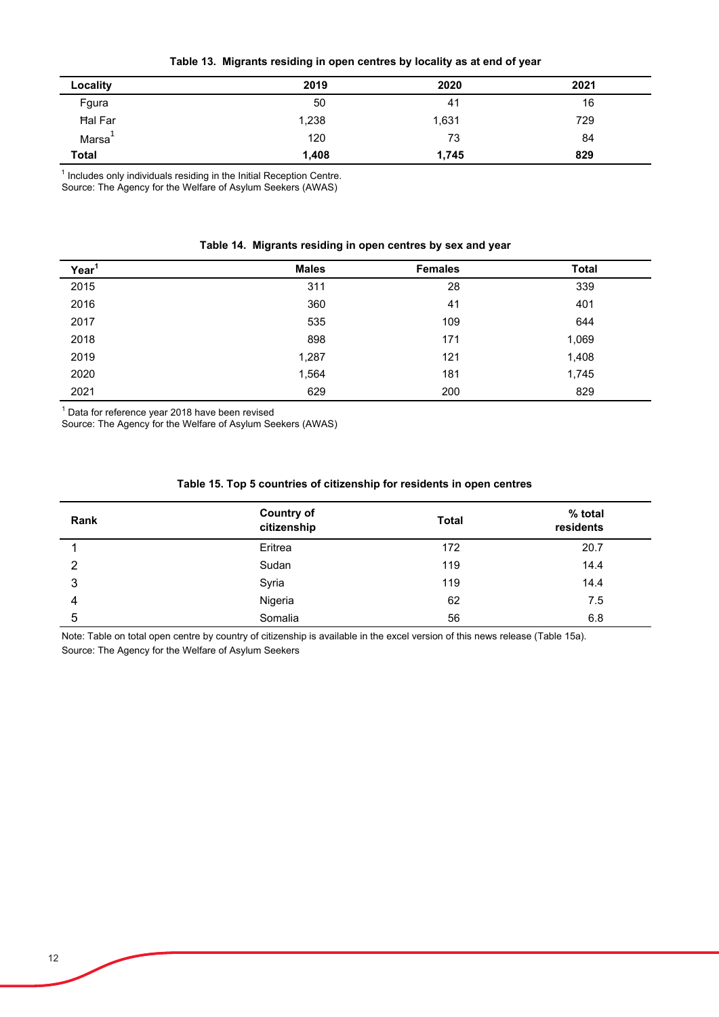**Table 13. Migrants residing in open centres by locality as at end of year**

| Locality           | 2019  | 2020  | 2021 |
|--------------------|-------|-------|------|
| Fgura              | 50    | 41    | 16   |
| Hal Far            | 1,238 | 1,631 | 729  |
| Marsa <sup>+</sup> | 120   | 73    | 84   |
| <b>Total</b>       | 1,408 | 1,745 | 829  |

 $1$  Includes only individuals residing in the Initial Reception Centre.

Source: The Agency for the Welfare of Asylum Seekers (AWAS)

|  |  | Table 14. Migrants residing in open centres by sex and year |  |  |  |  |  |
|--|--|-------------------------------------------------------------|--|--|--|--|--|
|--|--|-------------------------------------------------------------|--|--|--|--|--|

| Year <sup>1</sup> | <b>Males</b> | <b>Females</b> | <b>Total</b> |
|-------------------|--------------|----------------|--------------|
| 2015              | 311          | 28             | 339          |
| 2016              | 360          | 41             | 401          |
| 2017              | 535          | 109            | 644          |
| 2018              | 898          | 171            | 1,069        |
| 2019              | 1,287        | 121            | 1,408        |
| 2020              | 1,564        | 181            | 1,745        |
| 2021              | 629          | 200            | 829          |

 $^\text{\tiny{1}}$  Data for reference year 2018 have been revised

Source: The Agency for the Welfare of Asylum Seekers (AWAS)

| Rank | <b>Country of</b><br>citizenship | <b>Total</b> | % total<br>residents |
|------|----------------------------------|--------------|----------------------|
|      | Eritrea                          | 172          | 20.7                 |
| 2    | Sudan                            | 119          | 14.4                 |
| 3    | Syria                            | 119          | 14.4                 |
| 4    | Nigeria                          | 62           | 7.5                  |
| 5    | Somalia                          | 56           | 6.8                  |

# **Table 15. Top 5 countries of citizenship for residents in open centres**

Source: The Agency for the Welfare of Asylum Seekers Note: Table on total open centre by country of citizenship is available in the excel version of this news release (Table 15a).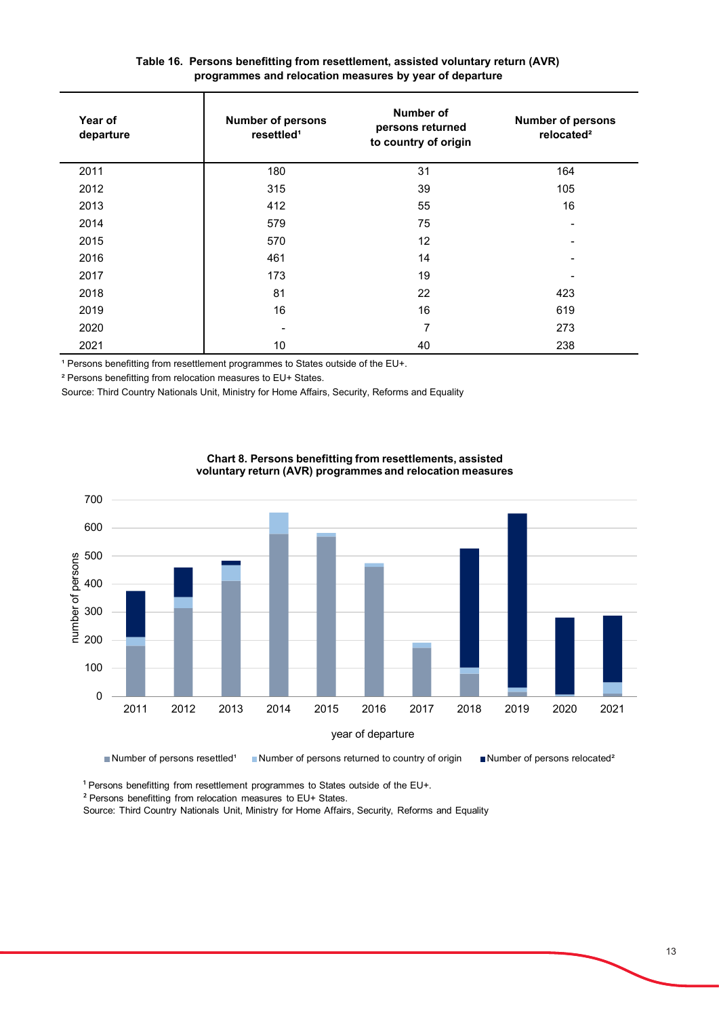| Year of<br>departure | <b>Number of persons</b><br>resettled <sup>1</sup> | Number of<br>persons returned<br>to country of origin | <b>Number of persons</b><br>relocated <sup>2</sup> |
|----------------------|----------------------------------------------------|-------------------------------------------------------|----------------------------------------------------|
| 2011                 | 180                                                | 31                                                    | 164                                                |
| 2012                 | 315                                                | 39                                                    | 105                                                |
| 2013                 | 412                                                | 55                                                    | 16                                                 |
| 2014                 | 579                                                | 75                                                    |                                                    |
| 2015                 | 570                                                | 12                                                    |                                                    |
| 2016                 | 461                                                | 14                                                    |                                                    |
| 2017                 | 173                                                | 19                                                    |                                                    |
| 2018                 | 81                                                 | 22                                                    | 423                                                |
| 2019                 | 16                                                 | 16                                                    | 619                                                |
| 2020                 |                                                    | 7                                                     | 273                                                |
| 2021                 | 10                                                 | 40                                                    | 238                                                |

# **Table 16. Persons benefitting from resettlement, assisted voluntary return (AVR) programmes and relocation measures by year of departure**

<sup>1</sup> Persons benefitting from resettlement programmes to States outside of the EU+.

² Persons benefitting from relocation measures to EU+ States.

Source: Third Country Nationals Unit, Ministry for Home Affairs, Security, Reforms and Equality



**Chart 8. Persons benefitting from resettlements, assisted voluntary return (AVR) programmes and relocation measures**

Number of persons resettled<sup>1</sup> Number of persons returned to country of origin Number of persons relocated<sup>2</sup>

<sup>1</sup> Persons benefitting from resettlement programmes to States outside of the EU+.

² Persons benefitting from relocation measures to EU+ States.

Source: Third Country Nationals Unit, Ministry for Home Affairs, Security, Reforms and Equality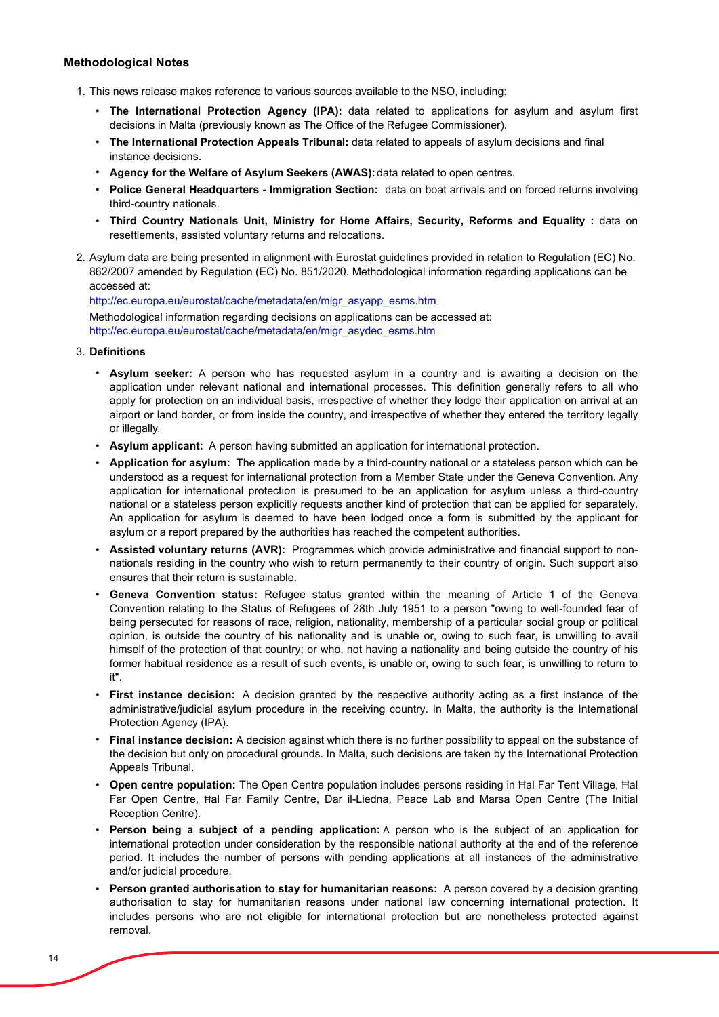## **Methodological Notes**

- 1. This news release makes reference to various sources available to the NSO, including:
	- **The International Protection Agency (IPA):** data related to applications for asylum and asylum first decisions in Malta (previously known as The Office of the Refugee Commissioner).
	- **The International Protection Appeals Tribunal:** data related to appeals of asylum decisions and final instance decisions.
	- **Agency for the Welfare of Asylum Seekers (AWAS):** data related to open centres.
	- **Police General Headquarters - Immigration Section:** data on boat arrivals and on forced returns involving third-country nationals.
	- **Third Country Nationals Unit, Ministry for Home Affairs, Security, Reforms and Equality :** data on resettlements, assisted voluntary returns and relocations.
- 2. Asylum data are being presented in alignment with Eurostat guidelines provided in relation to Regulation (EC) No. 862/2007 amended by Regulation (EC) No. 851/2020. Methodological information regarding applications can be accessed at:

Methodological information regarding decisions on applications can be accessed at: http://ec.europa.eu/eurostat/cache/metadata/en/migr\_asydec\_esms.htm http://ec.europa.eu/eurostat/cache/metadata/en/migr\_asyapp\_esms.htm

- 3. **Definitions**
	- **Asylum seeker:** A person who has requested asylum in a country and is awaiting a decision on the application under relevant national and international processes. This definition generally refers to all who apply for protection on an individual basis, irrespective of whether they lodge their application on arrival at an airport or land border, or from inside the country, and irrespective of whether they entered the territory legally or illegally*.*
	- **Asylum applicant:** A person having submitted an application for international protection.
	- **Application for asylum:** The application made by a third-country national or a stateless person which can be understood as a request for international protection from a Member State under the Geneva Convention. Any application for international protection is presumed to be an application for asylum unless a third-country national or a stateless person explicitly requests another kind of protection that can be applied for separately. An application for asylum is deemed to have been lodged once a form is submitted by the applicant for asylum or a report prepared by the authorities has reached the competent authorities.
	- **Assisted voluntary returns (AVR):** Programmes which provide administrative and financial support to nonnationals residing in the country who wish to return permanently to their country of origin. Such support also ensures that their return is sustainable.
	- **Geneva Convention status:** Refugee status granted within the meaning of Article 1 of the Geneva Convention relating to the Status of Refugees of 28th July 1951 to a person "owing to well-founded fear of being persecuted for reasons of race, religion, nationality, membership of a particular social group or political opinion, is outside the country of his nationality and is unable or, owing to such fear, is unwilling to avail himself of the protection of that country; or who, not having a nationality and being outside the country of his former habitual residence as a result of such events, is unable or, owing to such fear, is unwilling to return to it".
	- **First instance decision:** A decision granted by the respective authority acting as a first instance of the administrative/judicial asylum procedure in the receiving country. In Malta, the authority is the International Protection Agency (IPA).
	- **Final instance decision:** A decision against which there is no further possibility to appeal on the substance of the decision but only on procedural grounds. In Malta, such decisions are taken by the International Protection Appeals Tribunal.
	- **Open centre population:** The Open Centre population includes persons residing in Ħal Far Tent Village, Ħal Far Open Centre, Ħal Far Family Centre, Dar il-Liedna, Peace Lab and Marsa Open Centre (The Initial Reception Centre).
	- **Person being a subject of a pending application:** A person who is the subject of an application for international protection under consideration by the responsible national authority at the end of the reference period. It includes the number of persons with pending applications at all instances of the administrative and/or judicial procedure.
	- **Person granted authorisation to stay for humanitarian reasons:** A person covered by a decision granting authorisation to stay for humanitarian reasons under national law concerning international protection. It includes persons who are not eligible for international protection but are nonetheless protected against removal.